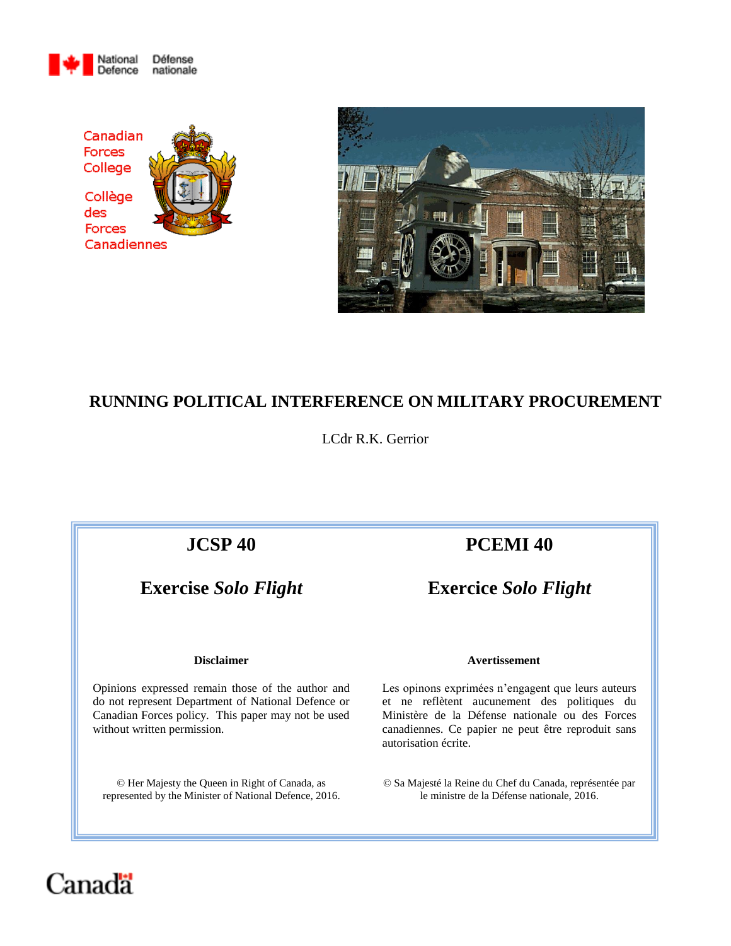





# **RUNNING POLITICAL INTERFERENCE ON MILITARY PROCUREMENT**

LCdr R.K. Gerrior

Opinions expressed remain those of the author and do not represent Department of National Defence or Canadian Forces policy. This paper may not be used without written permission.

© Her Majesty the Queen in Right of Canada, as represented by the Minister of National Defence, 2016.

# **JCSP 40 PCEMI 40**

**Exercise** *Solo Flight* **Exercice** *Solo Flight*

### **Disclaimer Avertissement**

Les opinons exprimées n'engagent que leurs auteurs et ne reflètent aucunement des politiques du Ministère de la Défense nationale ou des Forces canadiennes. Ce papier ne peut être reproduit sans autorisation écrite.

© Sa Majesté la Reine du Chef du Canada, représentée par le ministre de la Défense nationale, 2016.

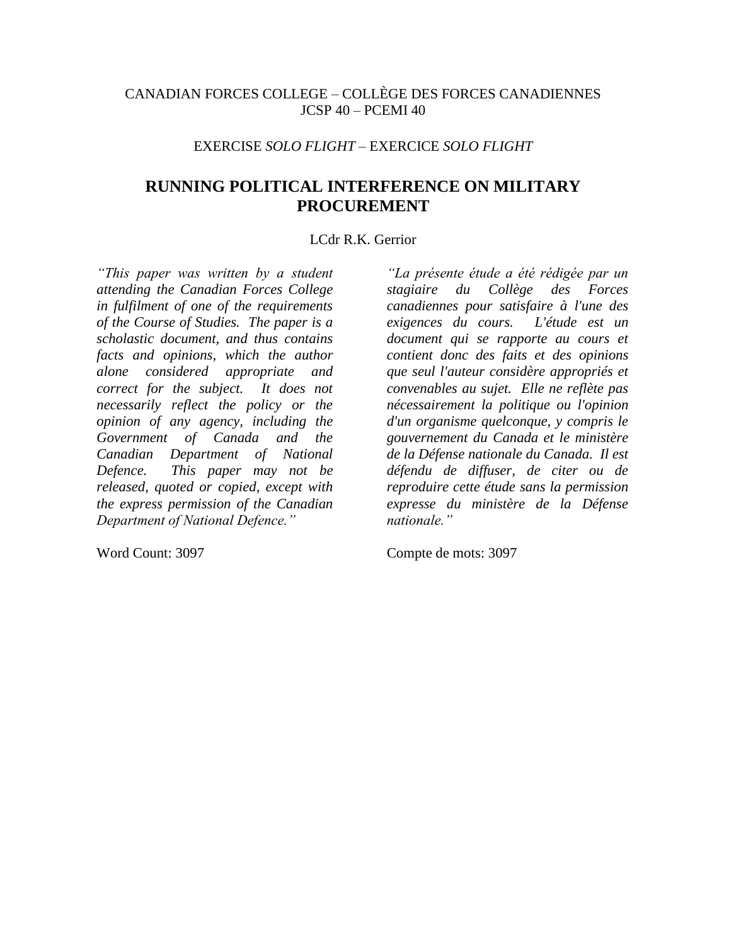# CANADIAN FORCES COLLEGE – COLLÈGE DES FORCES CANADIENNES  $ICSP 40 - PCEMI 40$

# EXERCISE *SOLO FLIGHT* – EXERCICE *SOLO FLIGHT*

# **RUNNING POLITICAL INTERFERENCE ON MILITARY PROCUREMENT**

# LCdr R.K. Gerrior

*"This paper was written by a student attending the Canadian Forces College in fulfilment of one of the requirements of the Course of Studies. The paper is a scholastic document, and thus contains facts and opinions, which the author alone considered appropriate and correct for the subject. It does not necessarily reflect the policy or the opinion of any agency, including the Government of Canada and the Canadian Department of National Defence. This paper may not be released, quoted or copied, except with the express permission of the Canadian Department of National Defence."*

*"La présente étude a été rédigée par un stagiaire du Collège des Forces canadiennes pour satisfaire à l'une des exigences du cours. L'étude est un document qui se rapporte au cours et contient donc des faits et des opinions que seul l'auteur considère appropriés et convenables au sujet. Elle ne reflète pas nécessairement la politique ou l'opinion d'un organisme quelconque, y compris le gouvernement du Canada et le ministère de la Défense nationale du Canada. Il est défendu de diffuser, de citer ou de reproduire cette étude sans la permission expresse du ministère de la Défense nationale."*

Word Count: 3097 Compte de mots: 3097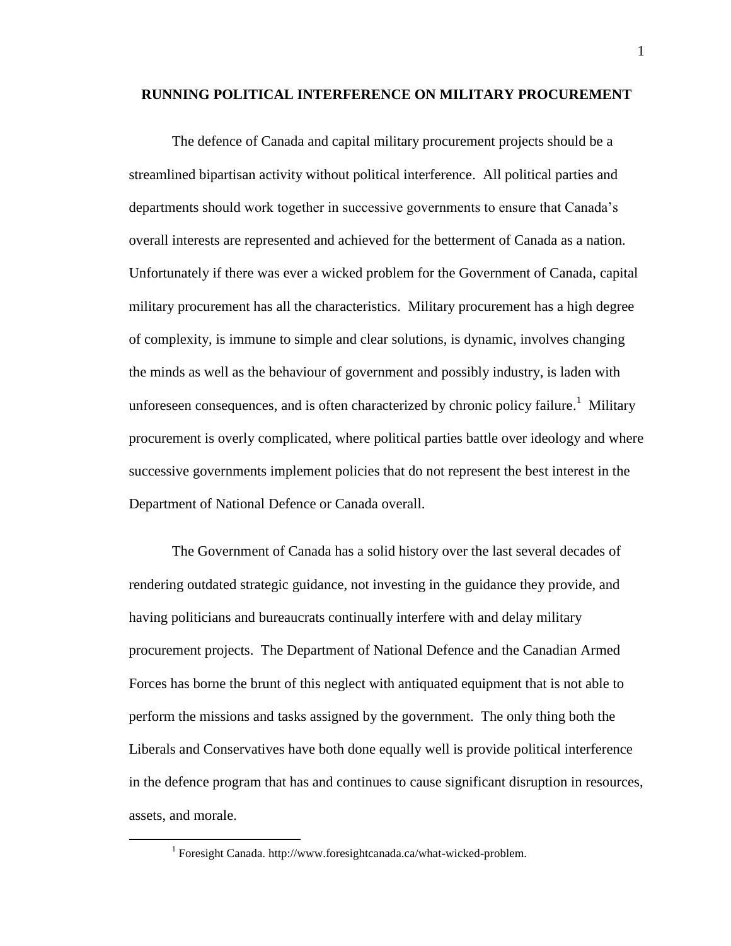### **RUNNING POLITICAL INTERFERENCE ON MILITARY PROCUREMENT**

The defence of Canada and capital military procurement projects should be a streamlined bipartisan activity without political interference. All political parties and departments should work together in successive governments to ensure that Canada's overall interests are represented and achieved for the betterment of Canada as a nation. Unfortunately if there was ever a wicked problem for the Government of Canada, capital military procurement has all the characteristics. Military procurement has a high degree of complexity, is immune to simple and clear solutions, is dynamic, involves changing the minds as well as the behaviour of government and possibly industry, is laden with unforeseen consequences, and is often characterized by chronic policy failure.<sup>1</sup> Military procurement is overly complicated, where political parties battle over ideology and where successive governments implement policies that do not represent the best interest in the Department of National Defence or Canada overall.

The Government of Canada has a solid history over the last several decades of rendering outdated strategic guidance, not investing in the guidance they provide, and having politicians and bureaucrats continually interfere with and delay military procurement projects. The Department of National Defence and the Canadian Armed Forces has borne the brunt of this neglect with antiquated equipment that is not able to perform the missions and tasks assigned by the government. The only thing both the Liberals and Conservatives have both done equally well is provide political interference in the defence program that has and continues to cause significant disruption in resources, assets, and morale.

<sup>&</sup>lt;sup>1</sup> Foresight Canada. http://www.foresightcanada.ca/what-wicked-problem.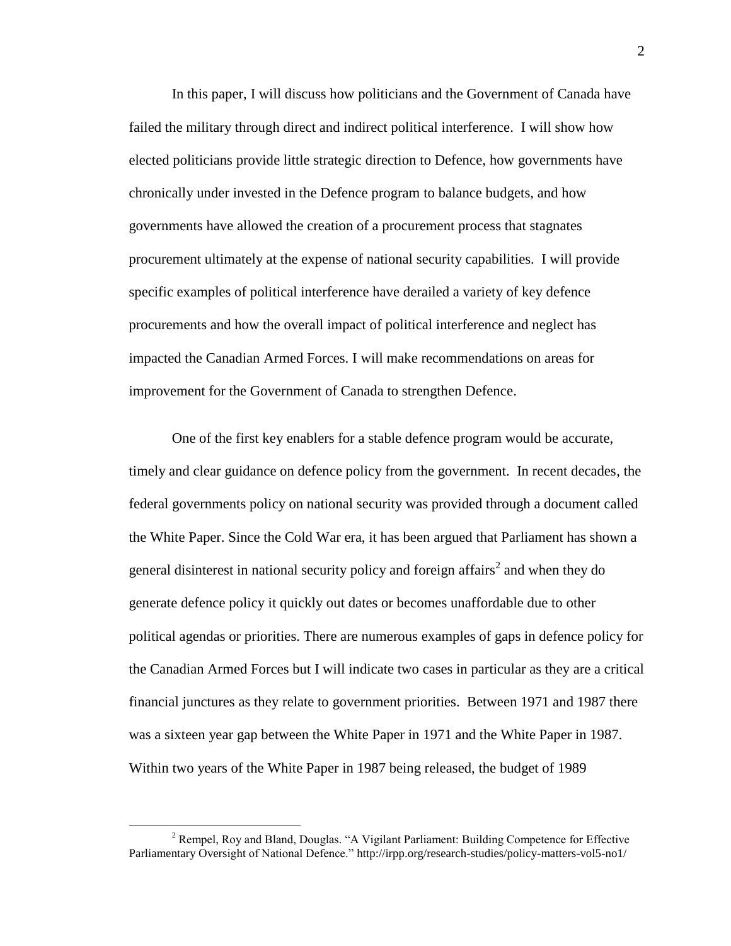In this paper, I will discuss how politicians and the Government of Canada have failed the military through direct and indirect political interference. I will show how elected politicians provide little strategic direction to Defence, how governments have chronically under invested in the Defence program to balance budgets, and how governments have allowed the creation of a procurement process that stagnates procurement ultimately at the expense of national security capabilities. I will provide specific examples of political interference have derailed a variety of key defence procurements and how the overall impact of political interference and neglect has impacted the Canadian Armed Forces. I will make recommendations on areas for improvement for the Government of Canada to strengthen Defence.

One of the first key enablers for a stable defence program would be accurate, timely and clear guidance on defence policy from the government. In recent decades, the federal governments policy on national security was provided through a document called the White Paper. Since the Cold War era, it has been argued that Parliament has shown a general disinterest in national security policy and foreign affairs<sup>2</sup> and when they do generate defence policy it quickly out dates or becomes unaffordable due to other political agendas or priorities. There are numerous examples of gaps in defence policy for the Canadian Armed Forces but I will indicate two cases in particular as they are a critical financial junctures as they relate to government priorities. Between 1971 and 1987 there was a sixteen year gap between the White Paper in 1971 and the White Paper in 1987. Within two years of the White Paper in 1987 being released, the budget of 1989

<sup>2</sup> Rempel, Roy and Bland, Douglas. "A Vigilant Parliament: Building Competence for Effective Parliamentary Oversight of National Defence." http://irpp.org/research-studies/policy-matters-vol5-no1/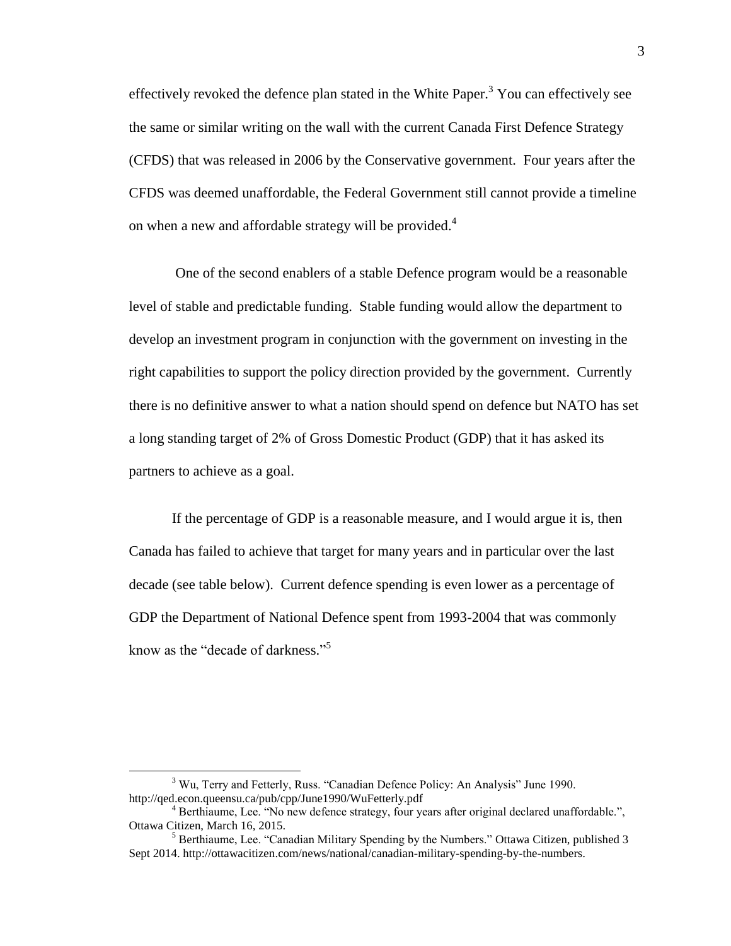effectively revoked the defence plan stated in the White Paper.<sup>3</sup> You can effectively see the same or similar writing on the wall with the current Canada First Defence Strategy (CFDS) that was released in 2006 by the Conservative government. Four years after the CFDS was deemed unaffordable, the Federal Government still cannot provide a timeline on when a new and affordable strategy will be provided.<sup>4</sup>

One of the second enablers of a stable Defence program would be a reasonable level of stable and predictable funding. Stable funding would allow the department to develop an investment program in conjunction with the government on investing in the right capabilities to support the policy direction provided by the government. Currently there is no definitive answer to what a nation should spend on defence but NATO has set a long standing target of 2% of Gross Domestic Product (GDP) that it has asked its partners to achieve as a goal.

If the percentage of GDP is a reasonable measure, and I would argue it is, then Canada has failed to achieve that target for many years and in particular over the last decade (see table below). Current defence spending is even lower as a percentage of GDP the Department of National Defence spent from 1993-2004 that was commonly know as the "decade of darkness." 5

<sup>3</sup> Wu, Terry and Fetterly, Russ. "Canadian Defence Policy: An Analysis" June 1990. http://qed.econ.queensu.ca/pub/cpp/June1990/WuFetterly.pdf

<sup>&</sup>lt;sup>4</sup> Berthiaume, Lee. "No new defence strategy, four years after original declared unaffordable.", Ottawa Citizen, March 16, 2015.

<sup>5</sup> Berthiaume, Lee. "Canadian Military Spending by the Numbers." Ottawa Citizen, published 3 Sept 2014. http://ottawacitizen.com/news/national/canadian-military-spending-by-the-numbers.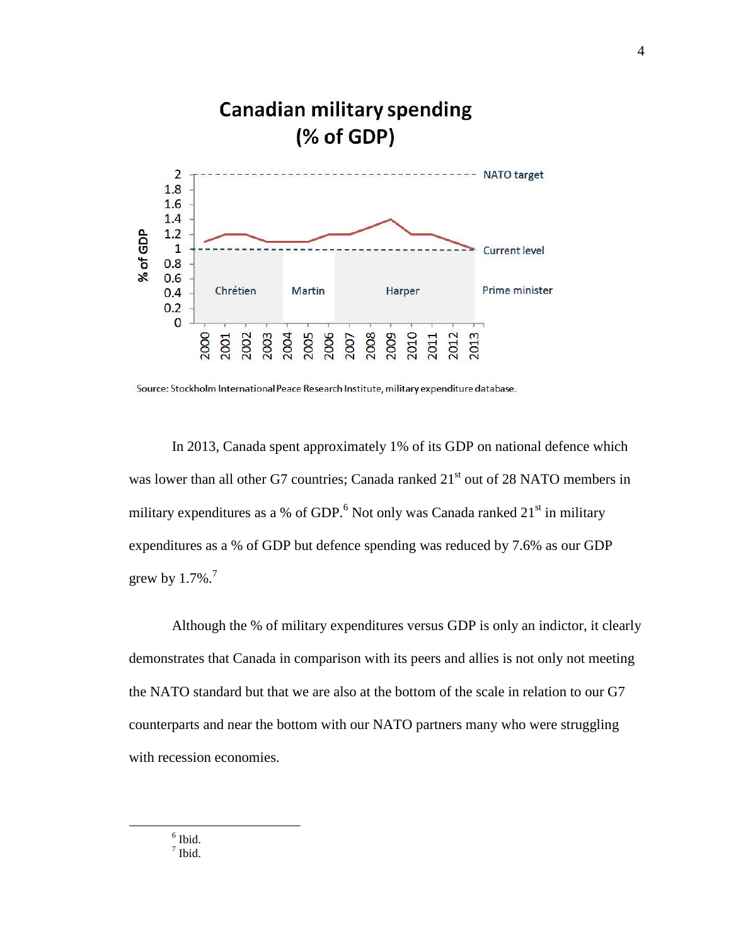

Source: Stockholm International Peace Research Institute, military expenditure database.

In 2013, Canada spent approximately 1% of its GDP on national defence which was lower than all other G7 countries; Canada ranked 21<sup>st</sup> out of 28 NATO members in military expenditures as a % of GDP.<sup>6</sup> Not only was Canada ranked  $21<sup>st</sup>$  in military expenditures as a % of GDP but defence spending was reduced by 7.6% as our GDP grew by  $1.7\%$ .<sup>7</sup>

Although the % of military expenditures versus GDP is only an indictor, it clearly demonstrates that Canada in comparison with its peers and allies is not only not meeting the NATO standard but that we are also at the bottom of the scale in relation to our G7 counterparts and near the bottom with our NATO partners many who were struggling with recession economies.

6 Ibid.

 $\overline{a}$ 

 $<sup>7</sup>$  Ibid.</sup>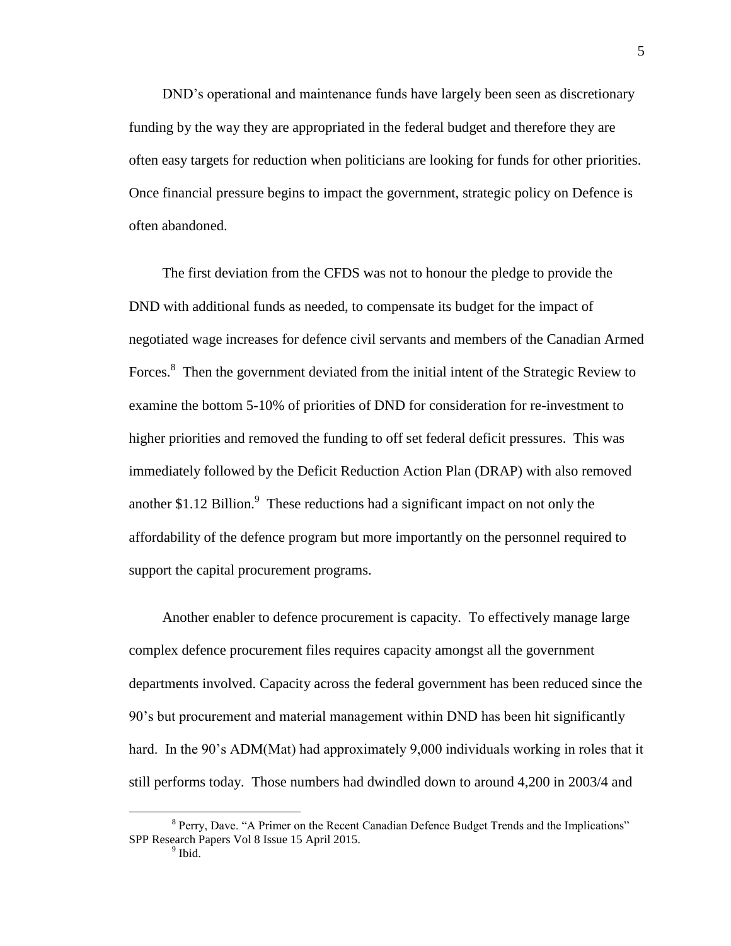DND's operational and maintenance funds have largely been seen as discretionary funding by the way they are appropriated in the federal budget and therefore they are often easy targets for reduction when politicians are looking for funds for other priorities. Once financial pressure begins to impact the government, strategic policy on Defence is often abandoned.

The first deviation from the CFDS was not to honour the pledge to provide the DND with additional funds as needed, to compensate its budget for the impact of negotiated wage increases for defence civil servants and members of the Canadian Armed Forces.<sup>8</sup> Then the government deviated from the initial intent of the Strategic Review to examine the bottom 5-10% of priorities of DND for consideration for re-investment to higher priorities and removed the funding to off set federal deficit pressures. This was immediately followed by the Deficit Reduction Action Plan (DRAP) with also removed another \$1.12 Billion. $\degree$  These reductions had a significant impact on not only the affordability of the defence program but more importantly on the personnel required to support the capital procurement programs.

Another enabler to defence procurement is capacity. To effectively manage large complex defence procurement files requires capacity amongst all the government departments involved. Capacity across the federal government has been reduced since the 90's but procurement and material management within DND has been hit significantly hard. In the 90's ADM(Mat) had approximately 9,000 individuals working in roles that it still performs today. Those numbers had dwindled down to around 4,200 in 2003/4 and

<sup>&</sup>lt;sup>8</sup> Perry, Dave. "A Primer on the Recent Canadian Defence Budget Trends and the Implications" SPP Research Papers Vol 8 Issue 15 April 2015.

<sup>&</sup>lt;sup>9</sup> Ibid.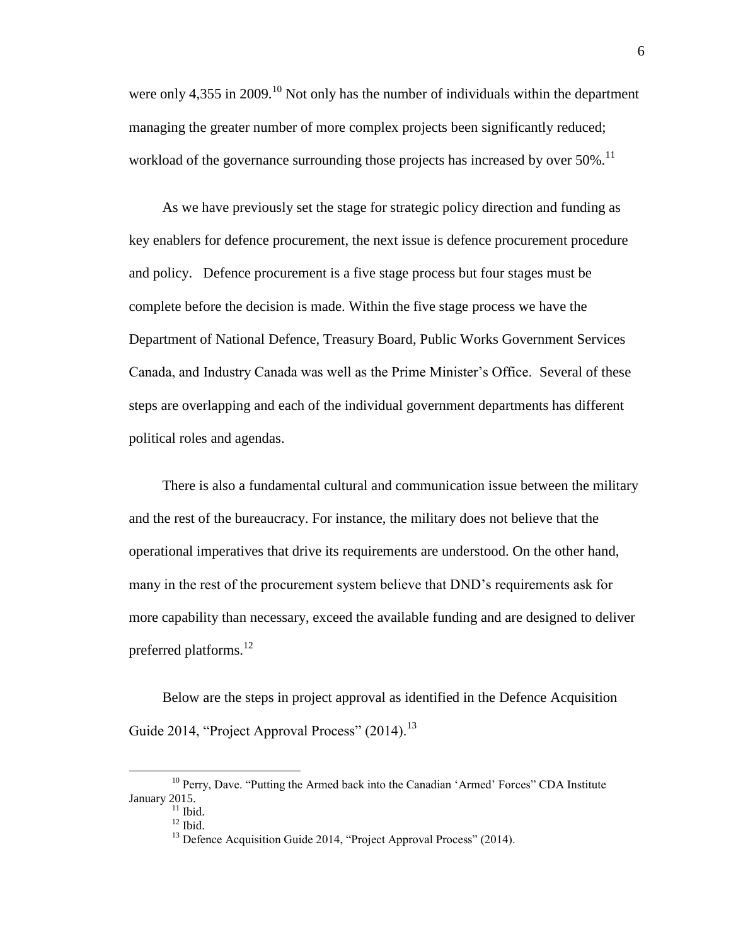were only 4,355 in 2009.<sup>10</sup> Not only has the number of individuals within the department managing the greater number of more complex projects been significantly reduced; workload of the governance surrounding those projects has increased by over  $50\%$ .<sup>11</sup>

As we have previously set the stage for strategic policy direction and funding as key enablers for defence procurement, the next issue is defence procurement procedure and policy. Defence procurement is a five stage process but four stages must be complete before the decision is made. Within the five stage process we have the Department of National Defence, Treasury Board, Public Works Government Services Canada, and Industry Canada was well as the Prime Minister's Office. Several of these steps are overlapping and each of the individual government departments has different political roles and agendas.

There is also a fundamental cultural and communication issue between the military and the rest of the bureaucracy. For instance, the military does not believe that the operational imperatives that drive its requirements are understood. On the other hand, many in the rest of the procurement system believe that DND's requirements ask for more capability than necessary, exceed the available funding and are designed to deliver preferred platforms.<sup>12</sup>

Below are the steps in project approval as identified in the Defence Acquisition Guide 2014, "Project Approval Process"  $(2014)$ <sup>13</sup>

<sup>&</sup>lt;sup>10</sup> Perry, Dave. "Putting the Armed back into the Canadian 'Armed' Forces" CDA Institute January 2015.

 $11$  Ibid.

 $12$  Ibid.

<sup>&</sup>lt;sup>13</sup> Defence Acquisition Guide 2014, "Project Approval Process" (2014).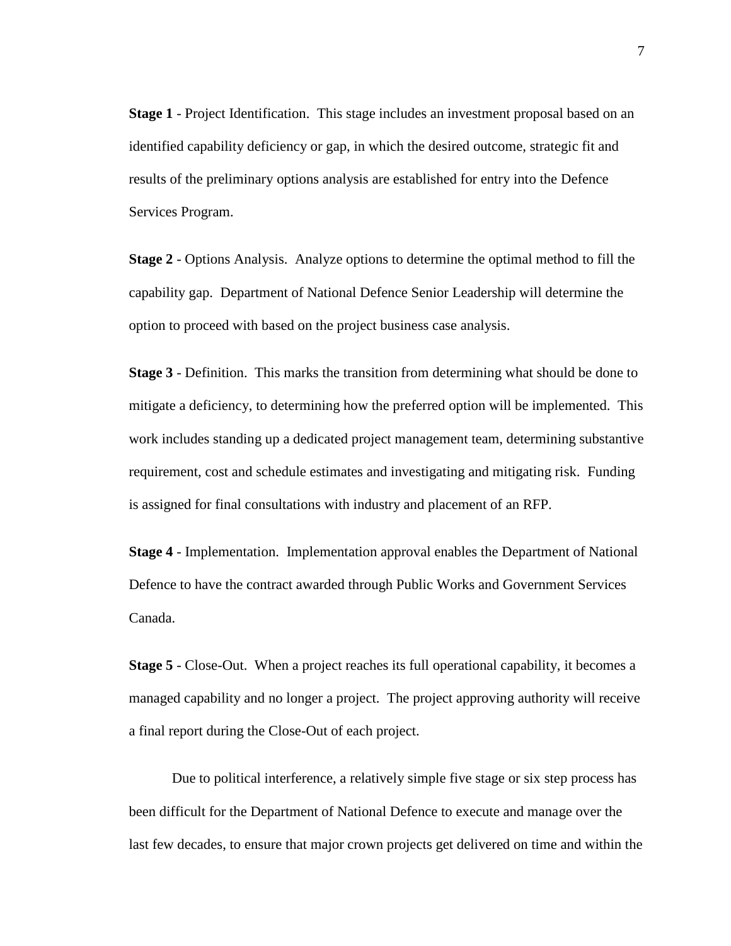**Stage 1** - Project Identification. This stage includes an investment proposal based on an identified capability deficiency or gap, in which the desired outcome, strategic fit and results of the preliminary options analysis are established for entry into the Defence Services Program.

**Stage 2** - Options Analysis. Analyze options to determine the optimal method to fill the capability gap. Department of National Defence Senior Leadership will determine the option to proceed with based on the project business case analysis.

**Stage 3** - Definition. This marks the transition from determining what should be done to mitigate a deficiency, to determining how the preferred option will be implemented. This work includes standing up a dedicated project management team, determining substantive requirement, cost and schedule estimates and investigating and mitigating risk. Funding is assigned for final consultations with industry and placement of an RFP.

**Stage 4** - Implementation. Implementation approval enables the Department of National Defence to have the contract awarded through Public Works and Government Services Canada.

**Stage 5** - Close-Out. When a project reaches its full operational capability, it becomes a managed capability and no longer a project. The project approving authority will receive a final report during the Close-Out of each project.

Due to political interference, a relatively simple five stage or six step process has been difficult for the Department of National Defence to execute and manage over the last few decades, to ensure that major crown projects get delivered on time and within the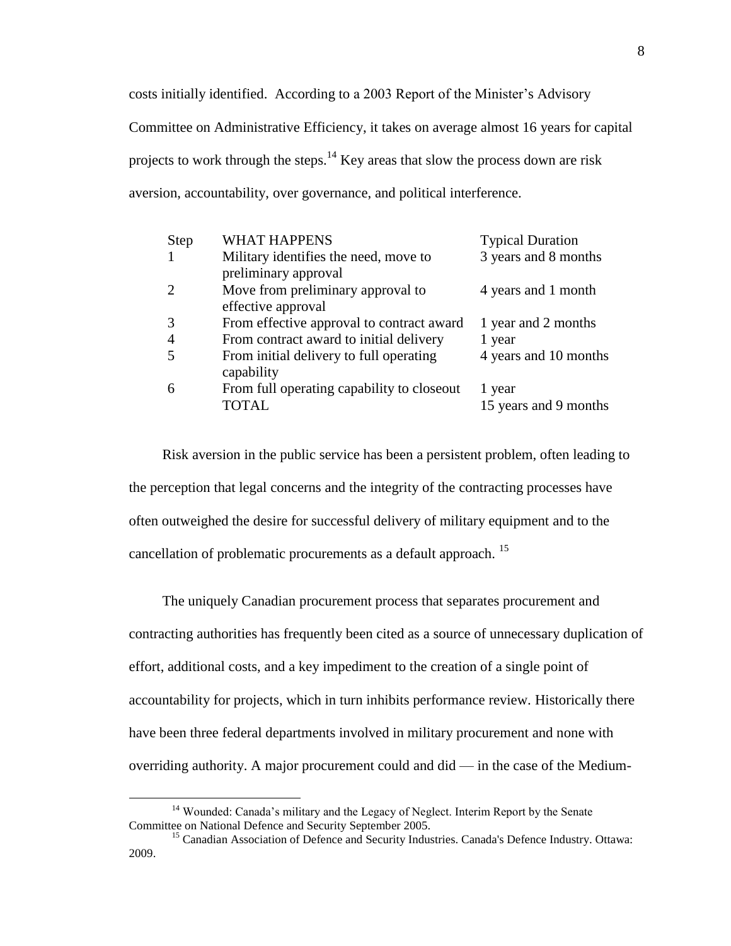costs initially identified. According to a 2003 Report of the Minister's Advisory Committee on Administrative Efficiency, it takes on average almost 16 years for capital projects to work through the steps.<sup>14</sup> Key areas that slow the process down are risk aversion, accountability, over governance, and political interference.

| Step | <b>WHAT HAPPENS</b>                                           | <b>Typical Duration</b> |
|------|---------------------------------------------------------------|-------------------------|
| 1    | Military identifies the need, move to<br>preliminary approval | 3 years and 8 months    |
|      |                                                               |                         |
| 2    | Move from preliminary approval to<br>effective approval       | 4 years and 1 month     |
| 3    | From effective approval to contract award                     | 1 year and 2 months     |
| 4    | From contract award to initial delivery                       | 1 year                  |
| 5    | From initial delivery to full operating<br>capability         | 4 years and 10 months   |
| 6    | From full operating capability to close out                   | 1 year                  |
|      | <b>TOTAL</b>                                                  | 15 years and 9 months   |

Risk aversion in the public service has been a persistent problem, often leading to the perception that legal concerns and the integrity of the contracting processes have often outweighed the desire for successful delivery of military equipment and to the cancellation of problematic procurements as a default approach.<sup>15</sup>

The uniquely Canadian procurement process that separates procurement and contracting authorities has frequently been cited as a source of unnecessary duplication of effort, additional costs, and a key impediment to the creation of a single point of accountability for projects, which in turn inhibits performance review. Historically there have been three federal departments involved in military procurement and none with overriding authority. A major procurement could and did — in the case of the Medium-

<sup>&</sup>lt;sup>14</sup> Wounded: Canada's military and the Legacy of Neglect. Interim Report by the Senate Committee on National Defence and Security September 2005.

<sup>&</sup>lt;sup>15</sup> Canadian Association of Defence and Security Industries. Canada's Defence Industry. Ottawa: 2009.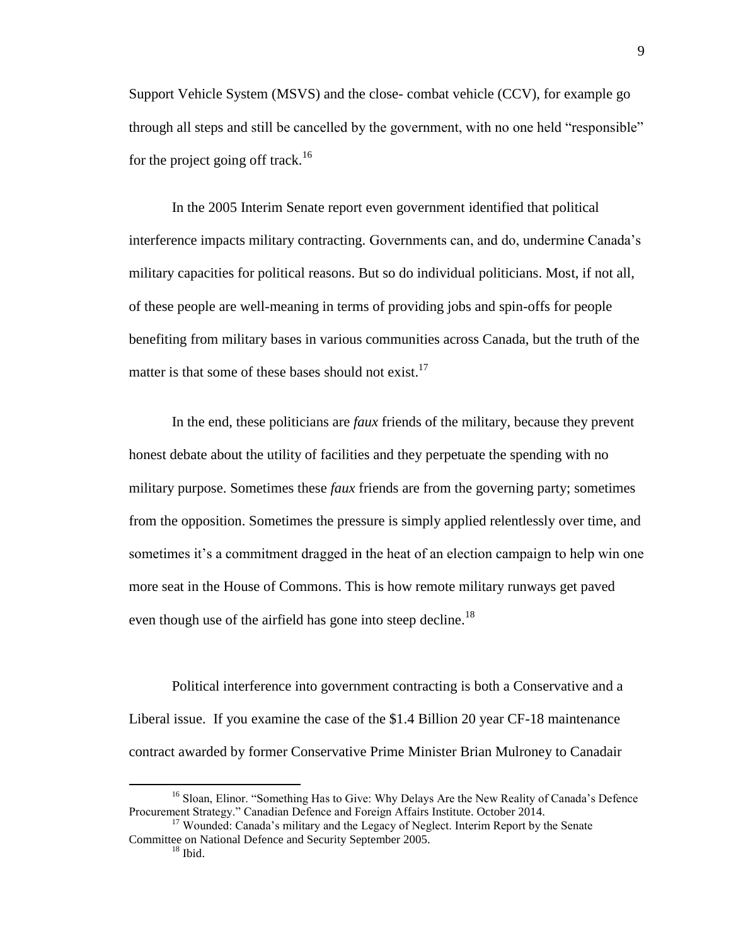Support Vehicle System (MSVS) and the close- combat vehicle (CCV), for example go through all steps and still be cancelled by the government, with no one held "responsible" for the project going off track.<sup>16</sup>

In the 2005 Interim Senate report even government identified that political interference impacts military contracting. Governments can, and do, undermine Canada's military capacities for political reasons. But so do individual politicians. Most, if not all, of these people are well-meaning in terms of providing jobs and spin-offs for people benefiting from military bases in various communities across Canada, but the truth of the matter is that some of these bases should not exist. $17$ 

In the end, these politicians are *faux* friends of the military, because they prevent honest debate about the utility of facilities and they perpetuate the spending with no military purpose. Sometimes these *faux* friends are from the governing party; sometimes from the opposition. Sometimes the pressure is simply applied relentlessly over time, and sometimes it's a commitment dragged in the heat of an election campaign to help win one more seat in the House of Commons. This is how remote military runways get paved even though use of the airfield has gone into steep decline.<sup>18</sup>

Political interference into government contracting is both a Conservative and a Liberal issue. If you examine the case of the \$1.4 Billion 20 year CF-18 maintenance contract awarded by former Conservative Prime Minister Brian Mulroney to Canadair

<sup>&</sup>lt;sup>16</sup> Sloan, Elinor. "Something Has to Give: Why Delays Are the New Reality of Canada's Defence Procurement Strategy." Canadian Defence and Foreign Affairs Institute. October 2014.

<sup>&</sup>lt;sup>17</sup> Wounded: Canada's military and the Legacy of Neglect. Interim Report by the Senate Committee on National Defence and Security September 2005.

 $18$  Ibid.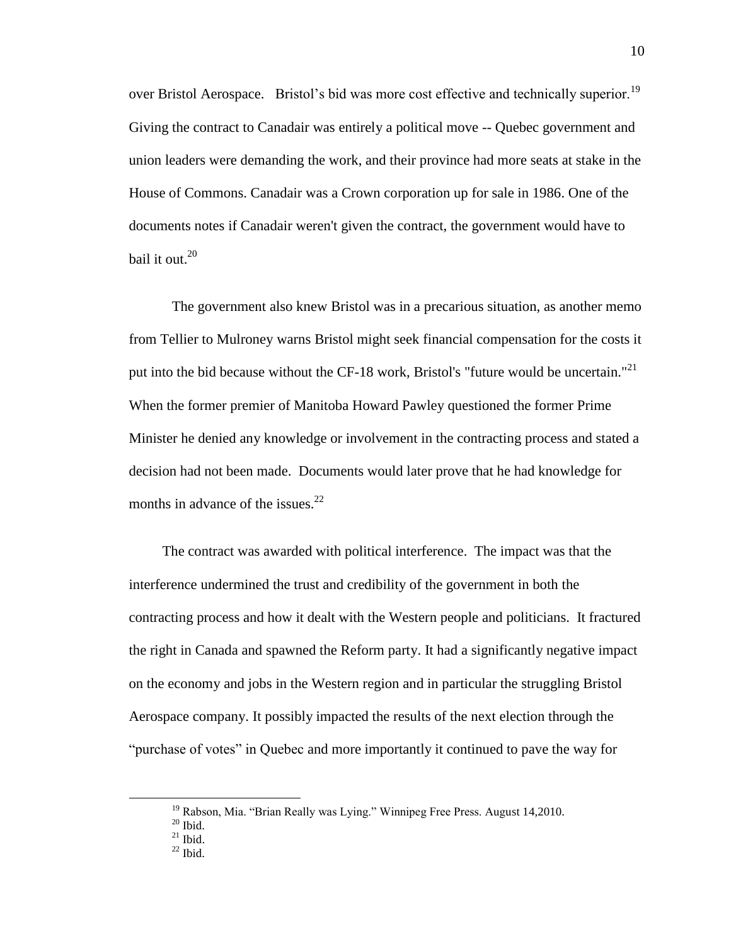over Bristol Aerospace. Bristol's bid was more cost effective and technically superior.<sup>19</sup> Giving the contract to Canadair was entirely a political move -- Quebec government and union leaders were demanding the work, and their province had more seats at stake in the House of Commons. Canadair was a Crown corporation up for sale in 1986. One of the documents notes if Canadair weren't given the contract, the government would have to bail it out.<sup>20</sup>

The government also knew Bristol was in a precarious situation, as another memo from Tellier to Mulroney warns Bristol might seek financial compensation for the costs it put into the bid because without the CF-18 work, Bristol's "future would be uncertain."<sup>21</sup> When the former premier of Manitoba Howard Pawley questioned the former Prime Minister he denied any knowledge or involvement in the contracting process and stated a decision had not been made. Documents would later prove that he had knowledge for months in advance of the issues. $^{22}$ 

The contract was awarded with political interference. The impact was that the interference undermined the trust and credibility of the government in both the contracting process and how it dealt with the Western people and politicians. It fractured the right in Canada and spawned the Reform party. It had a significantly negative impact on the economy and jobs in the Western region and in particular the struggling Bristol Aerospace company. It possibly impacted the results of the next election through the "purchase of votes" in Quebec and more importantly it continued to pave the way for

<sup>&</sup>lt;sup>19</sup> Rabson, Mia. "Brian Really was Lying." Winnipeg Free Press. August 14,2010.

 $20$  Ibid.

 $^{21}$  Ibid.

 $^{22}$  Ibid.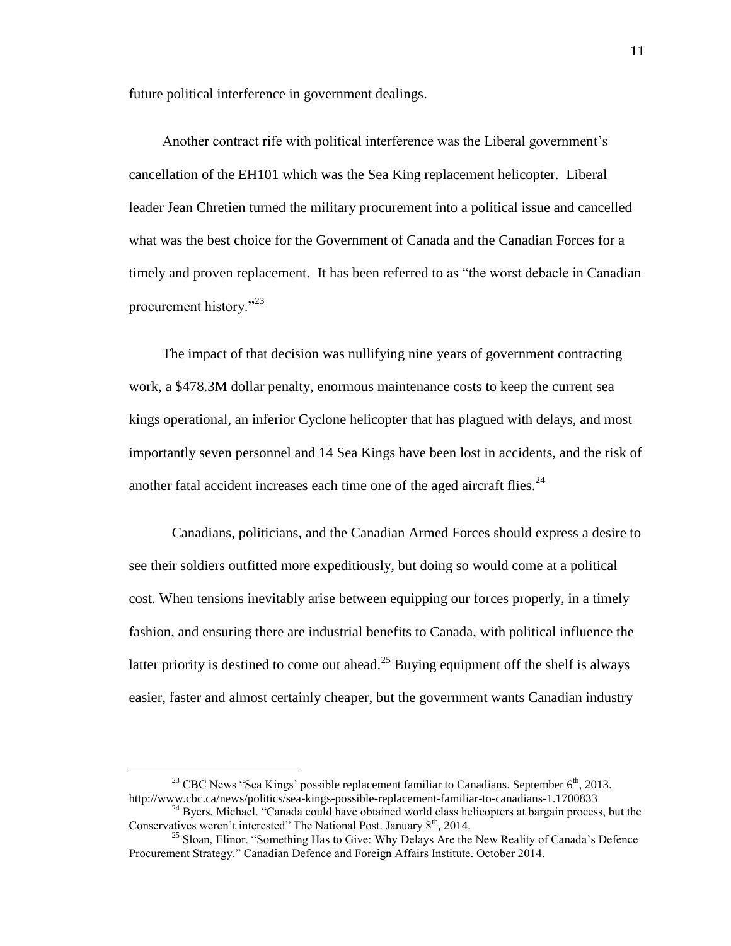future political interference in government dealings.

Another contract rife with political interference was the Liberal government's cancellation of the EH101 which was the Sea King replacement helicopter. Liberal leader Jean Chretien turned the military procurement into a political issue and cancelled what was the best choice for the Government of Canada and the Canadian Forces for a timely and proven replacement. It has been referred to as "the worst debacle in Canadian procurement history."<sup>23</sup>

The impact of that decision was nullifying nine years of government contracting work, a \$478.3M dollar penalty, enormous maintenance costs to keep the current sea kings operational, an inferior Cyclone helicopter that has plagued with delays, and most importantly seven personnel and 14 Sea Kings have been lost in accidents, and the risk of another fatal accident increases each time one of the aged aircraft flies.<sup>24</sup>

Canadians, politicians, and the Canadian Armed Forces should express a desire to see their soldiers outfitted more expeditiously, but doing so would come at a political cost. When tensions inevitably arise between equipping our forces properly, in a timely fashion, and ensuring there are industrial benefits to Canada, with political influence the latter priority is destined to come out ahead.<sup>25</sup> Buying equipment off the shelf is always easier, faster and almost certainly cheaper, but the government wants Canadian industry

<sup>&</sup>lt;sup>23</sup> CBC News "Sea Kings' possible replacement familiar to Canadians. September  $6<sup>th</sup>$ , 2013. http://www.cbc.ca/news/politics/sea-kings-possible-replacement-familiar-to-canadians-1.1700833

<sup>&</sup>lt;sup>24</sup> Byers, Michael. "Canada could have obtained world class helicopters at bargain process, but the Conservatives weren't interested" The National Post. January 8<sup>th</sup>, 2014.

<sup>&</sup>lt;sup>25</sup> Sloan, Elinor. "Something Has to Give: Why Delays Are the New Reality of Canada's Defence Procurement Strategy." Canadian Defence and Foreign Affairs Institute. October 2014.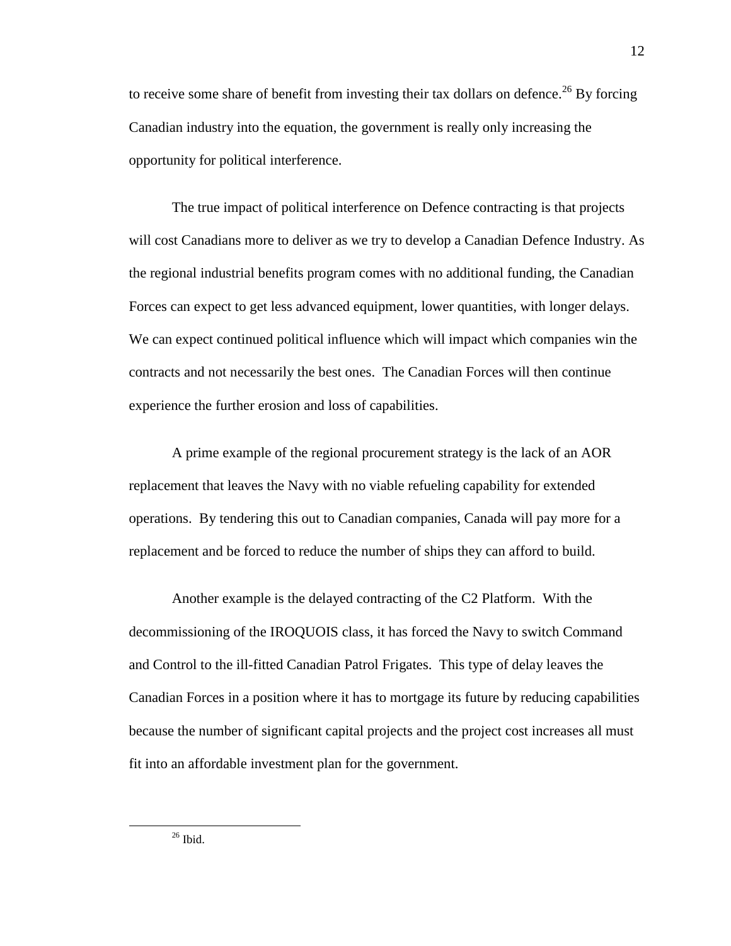to receive some share of benefit from investing their tax dollars on defence.<sup>26</sup> By forcing Canadian industry into the equation, the government is really only increasing the opportunity for political interference.

The true impact of political interference on Defence contracting is that projects will cost Canadians more to deliver as we try to develop a Canadian Defence Industry. As the regional industrial benefits program comes with no additional funding, the Canadian Forces can expect to get less advanced equipment, lower quantities, with longer delays. We can expect continued political influence which will impact which companies win the contracts and not necessarily the best ones. The Canadian Forces will then continue experience the further erosion and loss of capabilities.

A prime example of the regional procurement strategy is the lack of an AOR replacement that leaves the Navy with no viable refueling capability for extended operations. By tendering this out to Canadian companies, Canada will pay more for a replacement and be forced to reduce the number of ships they can afford to build.

Another example is the delayed contracting of the C2 Platform. With the decommissioning of the IROQUOIS class, it has forced the Navy to switch Command and Control to the ill-fitted Canadian Patrol Frigates. This type of delay leaves the Canadian Forces in a position where it has to mortgage its future by reducing capabilities because the number of significant capital projects and the project cost increases all must fit into an affordable investment plan for the government.

 $26$  Ibid.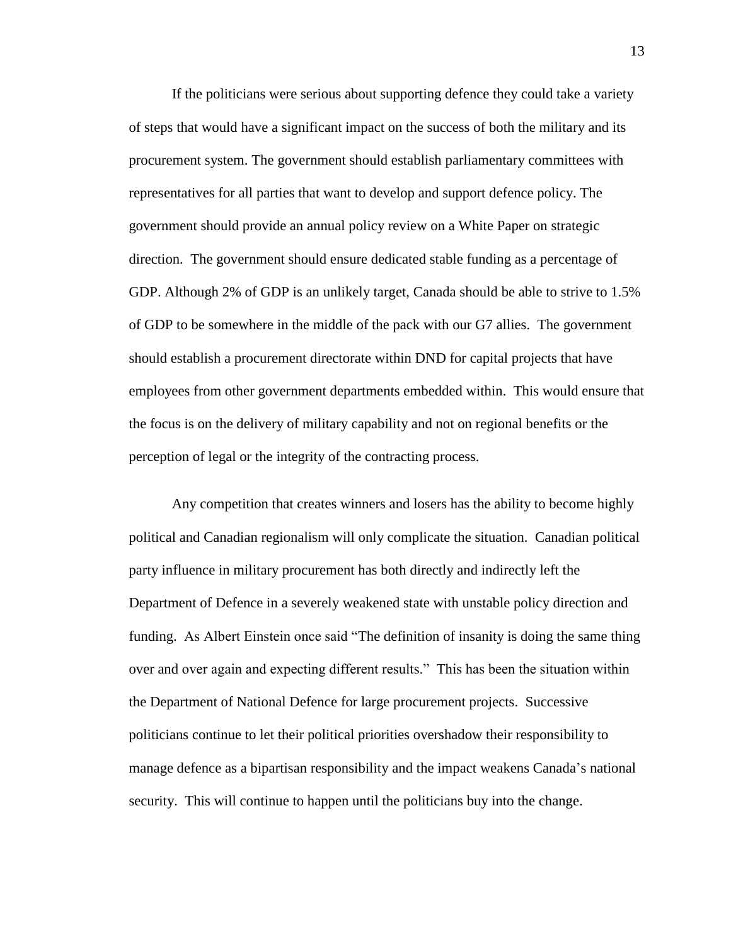If the politicians were serious about supporting defence they could take a variety of steps that would have a significant impact on the success of both the military and its procurement system. The government should establish parliamentary committees with representatives for all parties that want to develop and support defence policy. The government should provide an annual policy review on a White Paper on strategic direction. The government should ensure dedicated stable funding as a percentage of GDP. Although 2% of GDP is an unlikely target, Canada should be able to strive to 1.5% of GDP to be somewhere in the middle of the pack with our G7 allies. The government should establish a procurement directorate within DND for capital projects that have employees from other government departments embedded within. This would ensure that the focus is on the delivery of military capability and not on regional benefits or the perception of legal or the integrity of the contracting process.

Any competition that creates winners and losers has the ability to become highly political and Canadian regionalism will only complicate the situation. Canadian political party influence in military procurement has both directly and indirectly left the Department of Defence in a severely weakened state with unstable policy direction and funding. As Albert Einstein once said "The definition of insanity is doing the same thing over and over again and expecting different results." This has been the situation within the Department of National Defence for large procurement projects. Successive politicians continue to let their political priorities overshadow their responsibility to manage defence as a bipartisan responsibility and the impact weakens Canada's national security. This will continue to happen until the politicians buy into the change.